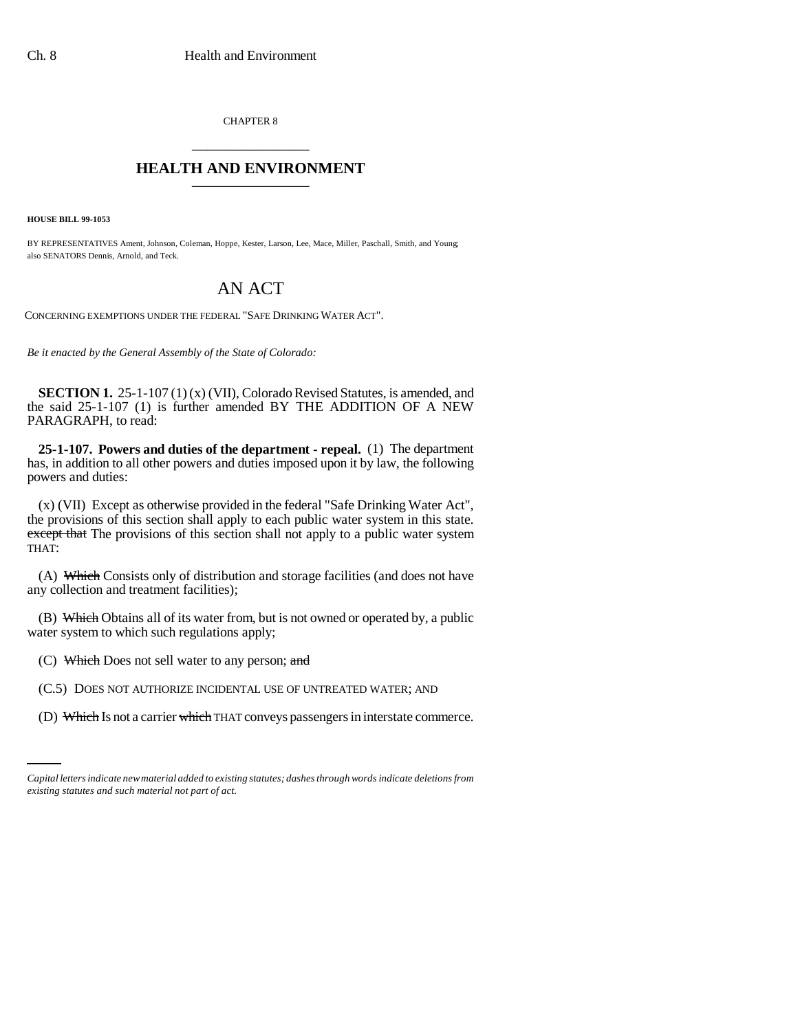CHAPTER 8 \_\_\_\_\_\_\_\_\_\_\_\_\_\_\_

## **HEALTH AND ENVIRONMENT** \_\_\_\_\_\_\_\_\_\_\_\_\_\_\_

**HOUSE BILL 99-1053** 

BY REPRESENTATIVES Ament, Johnson, Coleman, Hoppe, Kester, Larson, Lee, Mace, Miller, Paschall, Smith, and Young; also SENATORS Dennis, Arnold, and Teck.

## AN ACT

CONCERNING EXEMPTIONS UNDER THE FEDERAL "SAFE DRINKING WATER ACT".

*Be it enacted by the General Assembly of the State of Colorado:*

**SECTION 1.** 25-1-107 (1) (x) (VII), Colorado Revised Statutes, is amended, and the said 25-1-107 (1) is further amended BY THE ADDITION OF A NEW PARAGRAPH, to read:

**25-1-107. Powers and duties of the department - repeal.** (1) The department has, in addition to all other powers and duties imposed upon it by law, the following powers and duties:

(x) (VII) Except as otherwise provided in the federal "Safe Drinking Water Act", the provisions of this section shall apply to each public water system in this state. except that The provisions of this section shall not apply to a public water system THAT:

(A) Which Consists only of distribution and storage facilities (and does not have any collection and treatment facilities);

(B) Which Obtains all of its water from, but is not owned or operated by, a public water system to which such regulations apply;

(C) Which Does not sell water to any person; and

(C.5) DOES NOT AUTHORIZE INCIDENTAL USE OF UNTREATED WATER; AND

(D) Which Is not a carrier which THAT conveys passengers in interstate commerce.

*Capital letters indicate new material added to existing statutes; dashes through words indicate deletions from existing statutes and such material not part of act.*